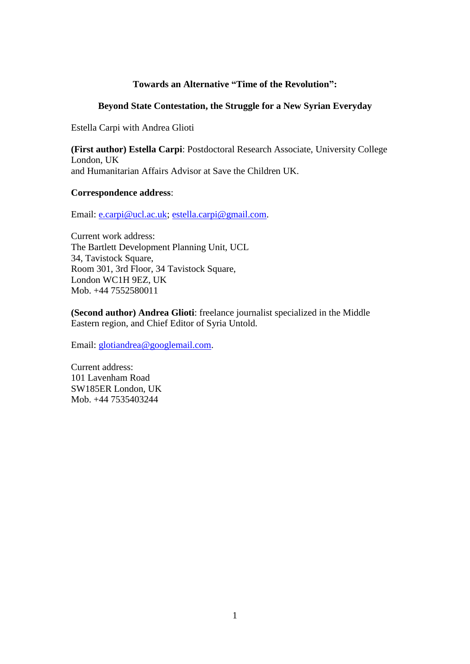# **Towards an Alternative "Time of the Revolution":**

## **Beyond State Contestation, the Struggle for a New Syrian Everyday**

Estella Carpi with Andrea Glioti

**(First author) Estella Carpi**: Postdoctoral Research Associate, University College London, UK and Humanitarian Affairs Advisor at Save the Children UK.

## **Correspondence address**:

Email: [e.carpi@ucl.ac.uk;](mailto:e.carpi@ucl.ac.uk) [estella.carpi@gmail.com.](mailto:estella.carpi@gmail.com)

Current work address: The Bartlett Development Planning Unit, UCL 34, Tavistock Square, Room 301, 3rd Floor, 34 Tavistock Square, London WC1H 9EZ, UK Mob. +44 7552580011

**(Second author) Andrea Glioti**: freelance journalist specialized in the Middle Eastern region, and Chief Editor of Syria Untold.

Email: [glotiandrea@googlemail.com.](mailto:glotiandrea@googlemail.com)

Current address: 101 Lavenham Road SW185ER London, UK Mob. +44 7535403244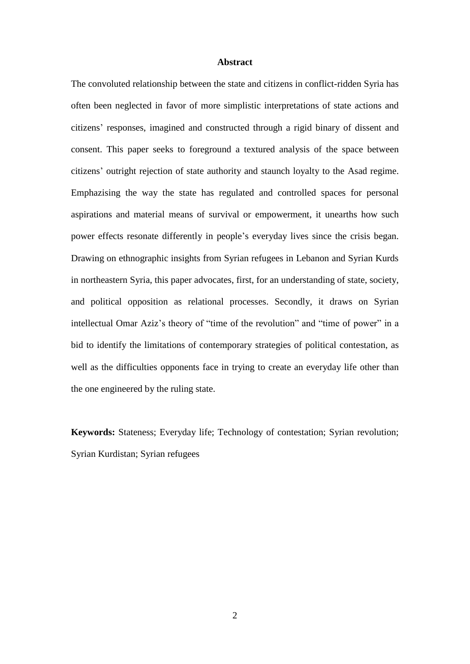#### **Abstract**

The convoluted relationship between the state and citizens in conflict-ridden Syria has often been neglected in favor of more simplistic interpretations of state actions and citizens' responses, imagined and constructed through a rigid binary of dissent and consent. This paper seeks to foreground a textured analysis of the space between citizens' outright rejection of state authority and staunch loyalty to the Asad regime. Emphazising the way the state has regulated and controlled spaces for personal aspirations and material means of survival or empowerment, it unearths how such power effects resonate differently in people's everyday lives since the crisis began. Drawing on ethnographic insights from Syrian refugees in Lebanon and Syrian Kurds in northeastern Syria, this paper advocates, first, for an understanding of state, society, and political opposition as relational processes. Secondly, it draws on Syrian intellectual Omar Aziz's theory of "time of the revolution" and "time of power" in a bid to identify the limitations of contemporary strategies of political contestation, as well as the difficulties opponents face in trying to create an everyday life other than the one engineered by the ruling state.

**Keywords:** Stateness; Everyday life; Technology of contestation; Syrian revolution; Syrian Kurdistan; Syrian refugees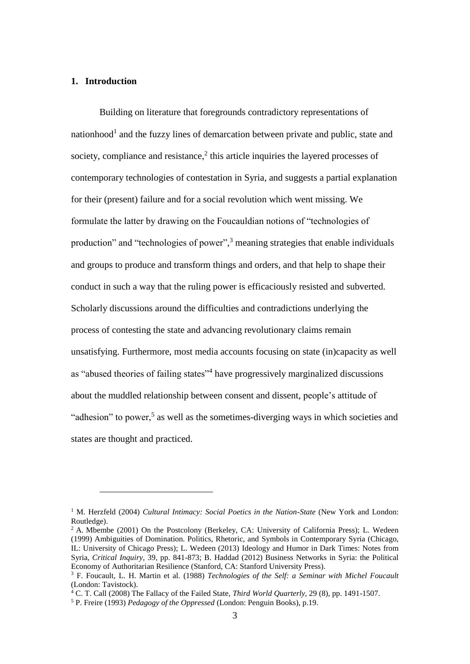#### **1. Introduction**

<u>.</u>

Building on literature that foregrounds contradictory representations of nationhood<sup>1</sup> and the fuzzy lines of demarcation between private and public, state and society, compliance and resistance,<sup>2</sup> this article inquiries the layered processes of contemporary technologies of contestation in Syria, and suggests a partial explanation for their (present) failure and for a social revolution which went missing. We formulate the latter by drawing on the Foucauldian notions of "technologies of production" and "technologies of power",<sup>3</sup> meaning strategies that enable individuals and groups to produce and transform things and orders, and that help to shape their conduct in such a way that the ruling power is efficaciously resisted and subverted. Scholarly discussions around the difficulties and contradictions underlying the process of contesting the state and advancing revolutionary claims remain unsatisfying. Furthermore, most media accounts focusing on state (in)capacity as well as "abused theories of failing states"<sup>4</sup> have progressively marginalized discussions about the muddled relationship between consent and dissent, people's attitude of "adhesion" to power,<sup>5</sup> as well as the sometimes-diverging ways in which societies and states are thought and practiced.

<sup>&</sup>lt;sup>1</sup> M. Herzfeld (2004) *Cultural Intimacy: Social Poetics in the Nation-State* (New York and London: Routledge).

<sup>&</sup>lt;sup>2</sup> A. Mbembe (2001) On the Postcolony (Berkeley, CA: University of California Press); L. Wedeen (1999) Ambiguities of Domination. Politics, Rhetoric, and Symbols in Contemporary Syria (Chicago, IL: University of Chicago Press); L. Wedeen (2013) Ideology and Humor in Dark Times: Notes from Syria, *Critical Inquiry,* 39, pp. 841-873; B. Haddad (2012) Business Networks in Syria: the Political Economy of Authoritarian Resilience (Stanford, CA: Stanford University Press).

<sup>3</sup> F. Foucault, L. H. Martin et al. (1988) *Technologies of the Self: a Seminar with Michel Foucault* (London: Tavistock).

<sup>4</sup> C. T. Call (2008) The Fallacy of the Failed State, *Third World Quarterly,* 29 (8), pp. 1491-1507.

<sup>5</sup> P. Freire (1993) *Pedagogy of the Oppressed* (London: Penguin Books), p.19.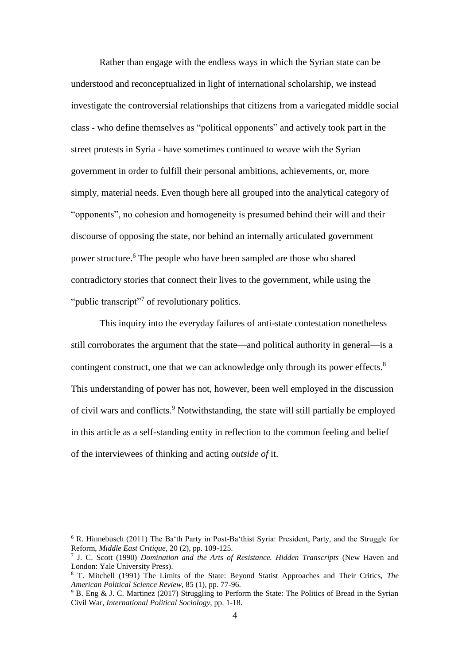Rather than engage with the endless ways in which the Syrian state can be understood and reconceptualized in light of international scholarship, we instead investigate the controversial relationships that citizens from a variegated middle social class - who define themselves as "political opponents" and actively took part in the street protests in Syria - have sometimes continued to weave with the Syrian government in order to fulfill their personal ambitions, achievements, or, more simply, material needs. Even though here all grouped into the analytical category of "opponents", no cohesion and homogeneity is presumed behind their will and their discourse of opposing the state, nor behind an internally articulated government power structure. <sup>6</sup> The people who have been sampled are those who shared contradictory stories that connect their lives to the government, while using the "public transcript"<sup>7</sup> of revolutionary politics.

This inquiry into the everyday failures of anti-state contestation nonetheless still corroborates the argument that the state—and political authority in general—is a contingent construct, one that we can acknowledge only through its power effects.<sup>8</sup> This understanding of power has not, however, been well employed in the discussion of civil wars and conflicts.<sup>9</sup> Notwithstanding, the state will still partially be employed in this article as a self-standing entity in reflection to the common feeling and belief of the interviewees of thinking and acting *outside of* it.

<u>.</u>

<sup>6</sup> R. Hinnebusch (2011) The Ba'th Party in Post-Ba'thist Syria: President, Party, and the Struggle for Reform, *Middle East Critique*, 20 (2), pp. 109-125.

<sup>7</sup> J. C. Scott (1990) *Domination and the Arts of Resistance. Hidden Transcripts* (New Haven and London: Yale University Press).

<sup>8</sup> T. Mitchell (1991) The Limits of the State: Beyond Statist Approaches and Their Critics, *The American Political Science Review,* 85 (1), pp. 77-96.

<sup>&</sup>lt;sup>9</sup> B. Eng & J. C. Martinez (2017) Struggling to Perform the State: The Politics of Bread in the Syrian Civil War, *International Political Sociology,* pp. 1-18.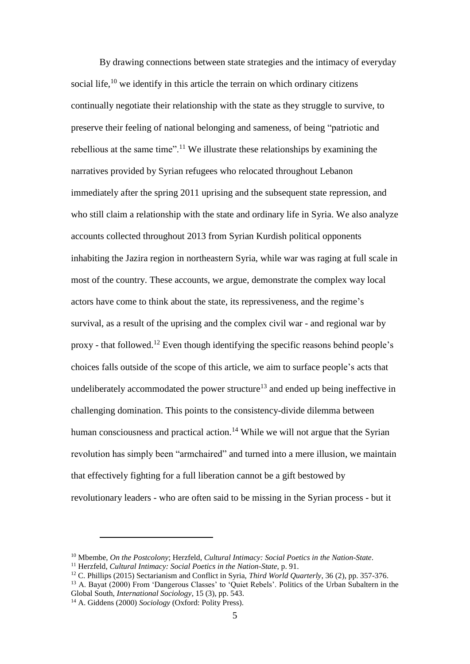By drawing connections between state strategies and the intimacy of everyday social life, $^{10}$  we identify in this article the terrain on which ordinary citizens continually negotiate their relationship with the state as they struggle to survive, to preserve their feeling of national belonging and sameness, of being "patriotic and rebellious at the same time".<sup>11</sup> We illustrate these relationships by examining the narratives provided by Syrian refugees who relocated throughout Lebanon immediately after the spring 2011 uprising and the subsequent state repression, and who still claim a relationship with the state and ordinary life in Syria. We also analyze accounts collected throughout 2013 from Syrian Kurdish political opponents inhabiting the Jazira region in northeastern Syria, while war was raging at full scale in most of the country. These accounts, we argue, demonstrate the complex way local actors have come to think about the state, its repressiveness, and the regime's survival, as a result of the uprising and the complex civil war - and regional war by proxy - that followed.<sup>12</sup> Even though identifying the specific reasons behind people's choices falls outside of the scope of this article, we aim to surface people's acts that undeliberately accommodated the power structure<sup>13</sup> and ended up being ineffective in challenging domination. This points to the consistency-divide dilemma between human consciousness and practical action.<sup>14</sup> While we will not argue that the Syrian revolution has simply been "armchaired" and turned into a mere illusion, we maintain that effectively fighting for a full liberation cannot be a gift bestowed by revolutionary leaders - who are often said to be missing in the Syrian process - but it

<sup>10</sup> Mbembe, *On the Postcolony*; Herzfeld, *Cultural Intimacy: Social Poetics in the Nation-State*.

<sup>11</sup> Herzfeld, *Cultural Intimacy: Social Poetics in the Nation-State*, p. 91.

<sup>12</sup> C. Phillips (2015) Sectarianism and Conflict in Syria, *Third World Quarterly*, 36 (2), pp. 357-376.

<sup>&</sup>lt;sup>13</sup> A. Bayat (2000) From 'Dangerous Classes' to 'Ouiet Rebels'. Politics of the Urban Subaltern in the Global South, *International Sociology*, 15 (3), pp. 543.

<sup>14</sup> A. Giddens (2000) *Sociology* (Oxford: Polity Press).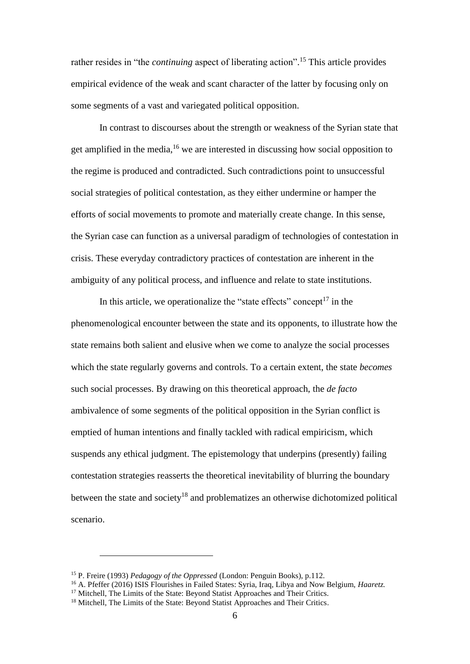rather resides in "the *continuing* aspect of liberating action". <sup>15</sup> This article provides empirical evidence of the weak and scant character of the latter by focusing only on some segments of a vast and variegated political opposition.

In contrast to discourses about the strength or weakness of the Syrian state that get amplified in the media,<sup>16</sup> we are interested in discussing how social opposition to the regime is produced and contradicted. Such contradictions point to unsuccessful social strategies of political contestation, as they either undermine or hamper the efforts of social movements to promote and materially create change. In this sense, the Syrian case can function as a universal paradigm of technologies of contestation in crisis. These everyday contradictory practices of contestation are inherent in the ambiguity of any political process, and influence and relate to state institutions.

In this article, we operationalize the "state effects" concept<sup>17</sup> in the phenomenological encounter between the state and its opponents, to illustrate how the state remains both salient and elusive when we come to analyze the social processes which the state regularly governs and controls. To a certain extent, the state *becomes* such social processes. By drawing on this theoretical approach, the *de facto* ambivalence of some segments of the political opposition in the Syrian conflict is emptied of human intentions and finally tackled with radical empiricism, which suspends any ethical judgment. The epistemology that underpins (presently) failing contestation strategies reasserts the theoretical inevitability of blurring the boundary between the state and society<sup>18</sup> and problematizes an otherwise dichotomized political scenario.

<u>.</u>

<sup>15</sup> P. Freire (1993) *Pedagogy of the Oppressed* (London: Penguin Books), p.112.

<sup>16</sup> A. Pfeffer (2016) ISIS Flourishes in Failed States: Syria, Iraq, Libya and Now Belgium, *Haaretz.*

 $17$  Mitchell, The Limits of the State: Beyond Statist Approaches and Their Critics.

<sup>&</sup>lt;sup>18</sup> Mitchell, The Limits of the State: Beyond Statist Approaches and Their Critics.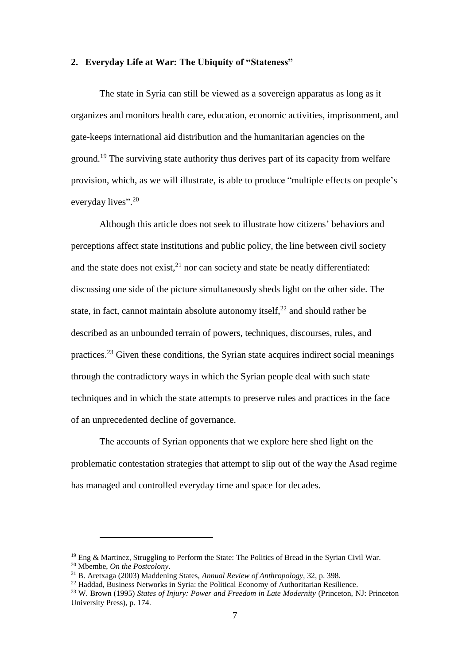#### **2. Everyday Life at War: The Ubiquity of "Stateness"**

The state in Syria can still be viewed as a sovereign apparatus as long as it organizes and monitors health care, education, economic activities, imprisonment, and gate-keeps international aid distribution and the humanitarian agencies on the ground.<sup>19</sup> The surviving state authority thus derives part of its capacity from welfare provision, which, as we will illustrate, is able to produce "multiple effects on people's everyday lives".<sup>20</sup>

Although this article does not seek to illustrate how citizens' behaviors and perceptions affect state institutions and public policy, the line between civil society and the state does not exist, $2<sup>1</sup>$  nor can society and state be neatly differentiated: discussing one side of the picture simultaneously sheds light on the other side. The state, in fact, cannot maintain absolute autonomy itself, $2<sup>2</sup>$  and should rather be described as an unbounded terrain of powers, techniques, discourses, rules, and practices.<sup>23</sup> Given these conditions, the Syrian state acquires indirect social meanings through the contradictory ways in which the Syrian people deal with such state techniques and in which the state attempts to preserve rules and practices in the face of an unprecedented decline of governance.

The accounts of Syrian opponents that we explore here shed light on the problematic contestation strategies that attempt to slip out of the way the Asad regime has managed and controlled everyday time and space for decades.

<sup>&</sup>lt;sup>19</sup> Eng & Martinez, Struggling to Perform the State: The Politics of Bread in the Syrian Civil War. <sup>20</sup> Mbembe, *On the Postcolony*.

<sup>21</sup> B. Aretxaga (2003) Maddening States, *Annual Review of Anthropology,* 32, p. 398.

<sup>22</sup> Haddad, Business Networks in Syria: the Political Economy of Authoritarian Resilience.

<sup>23</sup> W. Brown (1995) *States of Injury: Power and Freedom in Late Modernity* (Princeton, NJ: Princeton University Press), p. 174.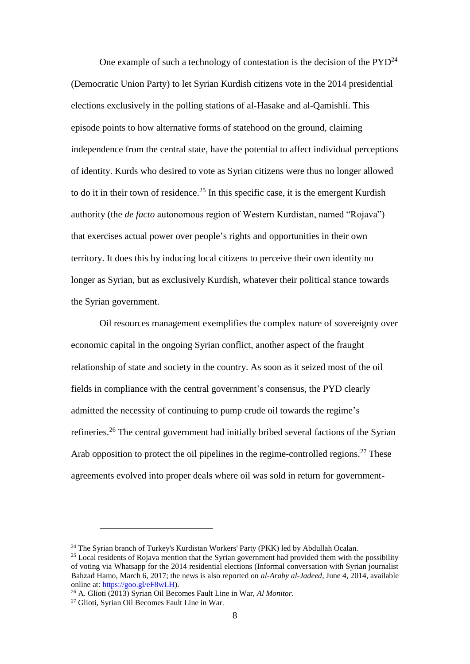One example of such a technology of contestation is the decision of the  $\text{PYD}^{24}$ (Democratic Union Party) to let Syrian Kurdish citizens vote in the 2014 presidential elections exclusively in the polling stations of al-Hasake and al-Qamishli. This episode points to how alternative forms of statehood on the ground, claiming independence from the central state, have the potential to affect individual perceptions of identity. Kurds who desired to vote as Syrian citizens were thus no longer allowed to do it in their town of residence.<sup>25</sup> In this specific case, it is the emergent Kurdish authority (the *de facto* autonomous region of Western Kurdistan, named "Rojava") that exercises actual power over people's rights and opportunities in their own territory. It does this by inducing local citizens to perceive their own identity no longer as Syrian, but as exclusively Kurdish, whatever their political stance towards the Syrian government.

Oil resources management exemplifies the complex nature of sovereignty over economic capital in the ongoing Syrian conflict, another aspect of the fraught relationship of state and society in the country. As soon as it seized most of the oil fields in compliance with the central government's consensus, the PYD clearly admitted the necessity of continuing to pump crude oil towards the regime's refineries.<sup>26</sup> The central government had initially bribed several factions of the Syrian Arab opposition to protect the oil pipelines in the regime-controlled regions.<sup>27</sup> These agreements evolved into proper deals where oil was sold in return for government-

<sup>&</sup>lt;sup>24</sup> The Syrian branch of Turkey's Kurdistan Workers' Party (PKK) led by Abdullah Ocalan.

 $25$  Local residents of Rojava mention that the Syrian government had provided them with the possibility of voting via Whatsapp for the 2014 residential elections (Informal conversation with Syrian journalist Bahzad Hamo, March 6, 2017; the news is also reported on *al-Araby al-Jadeed*, June 4, 2014, available online at: [https://goo.gl/eF8wLH\)](https://goo.gl/eF8wLH).

<sup>26</sup> A. Glioti (2013) Syrian Oil Becomes Fault Line in War, *Al Monitor.*

<sup>27</sup> Glioti, Syrian Oil Becomes Fault Line in War.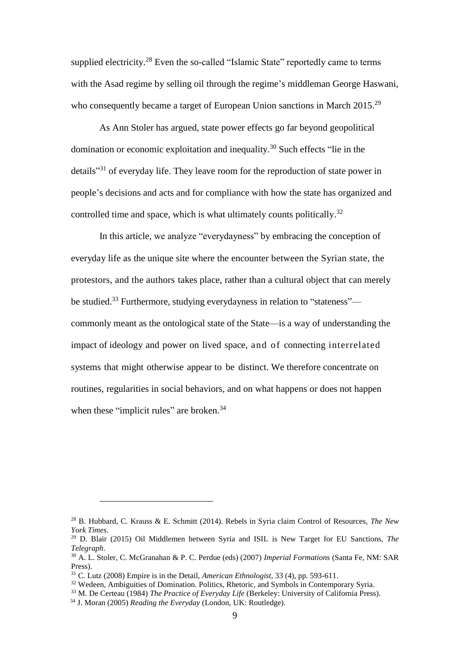supplied electricity.<sup>28</sup> Even the so-called "Islamic State" reportedly came to terms with the Asad regime by selling oil through the regime's middleman George Haswani, who consequently became a target of European Union sanctions in March 2015.<sup>29</sup>

As Ann Stoler has argued, state power effects go far beyond geopolitical domination or economic exploitation and inequality. <sup>30</sup> Such effects "lie in the details<sup>331</sup> of everyday life. They leave room for the reproduction of state power in people's decisions and acts and for compliance with how the state has organized and controlled time and space, which is what ultimately counts politically.<sup>32</sup>

In this article, we analyze "everydayness" by embracing the conception of everyday life as the unique site where the encounter between the Syrian state, the protestors, and the authors takes place, rather than a cultural object that can merely be studied.<sup>33</sup> Furthermore, studying everydayness in relation to "stateness" commonly meant as the ontological state of the State—is a way of understanding the impact of ideology and power on lived space, and of connecting interrelated systems that might otherwise appear to be distinct. We therefore concentrate on routines, regularities in social behaviors, and on what happens or does not happen when these "implicit rules" are broken.<sup>34</sup>

<sup>28</sup> B. Hubbard, C. Krauss & E. Schmitt (2014). Rebels in Syria claim Control of Resources, *The New York Times*.

<sup>29</sup> D. Blair (2015) Oil Middlemen between Syria and ISIL is New Target for EU Sanctions, *The Telegraph*.

<sup>30</sup> A. L. Stoler, C. McGranahan & P. C. Perdue (eds) (2007) *Imperial Formations* (Santa Fe, NM: SAR Press).

<sup>31</sup> C. Lutz (2008) Empire is in the Detail, *American Ethnologist*, 33 (4), pp. 593-611.

<sup>&</sup>lt;sup>32</sup> Wedeen, Ambiguities of Domination. Politics, Rhetoric, and Symbols in Contemporary Syria.

<sup>33</sup> M. De Certeau (1984) *The Practice of Everyday Life* (Berkeley: University of California Press).

<sup>34</sup> J. Moran (2005) *Reading the Everyday* (London, UK: Routledge).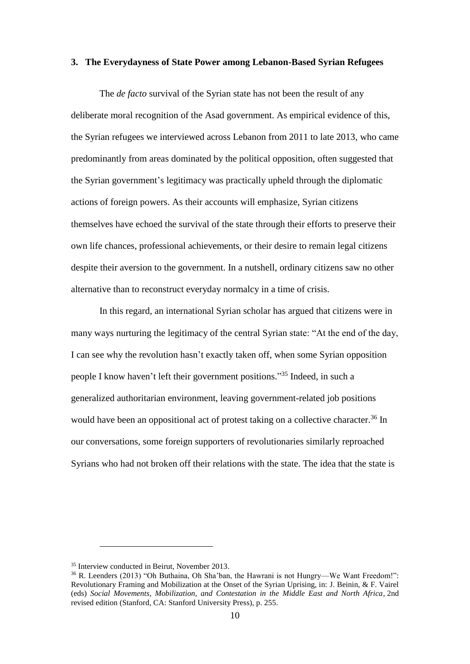#### **3. The Everydayness of State Power among Lebanon-Based Syrian Refugees**

The *de facto* survival of the Syrian state has not been the result of any deliberate moral recognition of the Asad government. As empirical evidence of this, the Syrian refugees we interviewed across Lebanon from 2011 to late 2013, who came predominantly from areas dominated by the political opposition, often suggested that the Syrian government's legitimacy was practically upheld through the diplomatic actions of foreign powers. As their accounts will emphasize, Syrian citizens themselves have echoed the survival of the state through their efforts to preserve their own life chances, professional achievements, or their desire to remain legal citizens despite their aversion to the government. In a nutshell, ordinary citizens saw no other alternative than to reconstruct everyday normalcy in a time of crisis.

In this regard, an international Syrian scholar has argued that citizens were in many ways nurturing the legitimacy of the central Syrian state: "At the end of the day, I can see why the revolution hasn't exactly taken off, when some Syrian opposition people I know haven't left their government positions." <sup>35</sup> Indeed, in such a generalized authoritarian environment, leaving government-related job positions would have been an oppositional act of protest taking on a collective character.<sup>36</sup> In our conversations, some foreign supporters of revolutionaries similarly reproached Syrians who had not broken off their relations with the state. The idea that the state is

<sup>35</sup> Interview conducted in Beirut, November 2013.

<sup>36</sup> R. Leenders (2013) "Oh Buthaina, Oh Sha'ban, the Hawrani is not Hungry—We Want Freedom!": Revolutionary Framing and Mobilization at the Onset of the Syrian Uprising, in: J. Beinin, & F. Vairel (eds) *Social Movements, Mobilization, and Contestation in the Middle East and North Africa*, 2nd revised edition (Stanford, CA: Stanford University Press), p. 255.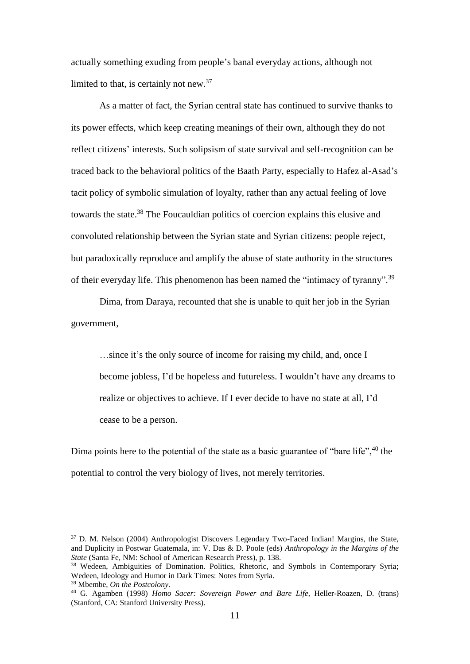actually something exuding from people's banal everyday actions, although not limited to that, is certainly not new.  $37$ 

As a matter of fact, the Syrian central state has continued to survive thanks to its power effects, which keep creating meanings of their own, although they do not reflect citizens' interests. Such solipsism of state survival and self-recognition can be traced back to the behavioral politics of the Baath Party, especially to Hafez al-Asad's tacit policy of symbolic simulation of loyalty, rather than any actual feeling of love towards the state.<sup>38</sup> The Foucauldian politics of coercion explains this elusive and convoluted relationship between the Syrian state and Syrian citizens: people reject, but paradoxically reproduce and amplify the abuse of state authority in the structures of their everyday life. This phenomenon has been named the "intimacy of tyranny".<sup>39</sup>

Dima, from Daraya, recounted that she is unable to quit her job in the Syrian government,

…since it's the only source of income for raising my child, and, once I become jobless, I'd be hopeless and futureless. I wouldn't have any dreams to realize or objectives to achieve. If I ever decide to have no state at all, I'd cease to be a person.

Dima points here to the potential of the state as a basic guarantee of "bare life",  $40$  the potential to control the very biology of lives, not merely territories.

<u>.</u>

<sup>&</sup>lt;sup>37</sup> D. M. Nelson (2004) Anthropologist Discovers Legendary Two-Faced Indian! Margins, the State, and Duplicity in Postwar Guatemala, in: V. Das & D. Poole (eds) *Anthropology in the Margins of the State* (Santa Fe, NM: School of American Research Press), p. 138.

<sup>&</sup>lt;sup>38</sup> Wedeen, Ambiguities of Domination. Politics, Rhetoric, and Symbols in Contemporary Syria; Wedeen, Ideology and Humor in Dark Times: Notes from Syria.

<sup>39</sup> Mbembe, *On the Postcolony*.

<sup>40</sup> G. Agamben (1998) *Homo Sacer: Sovereign Power and Bare Life*, Heller-Roazen, D. (trans) (Stanford, CA: Stanford University Press).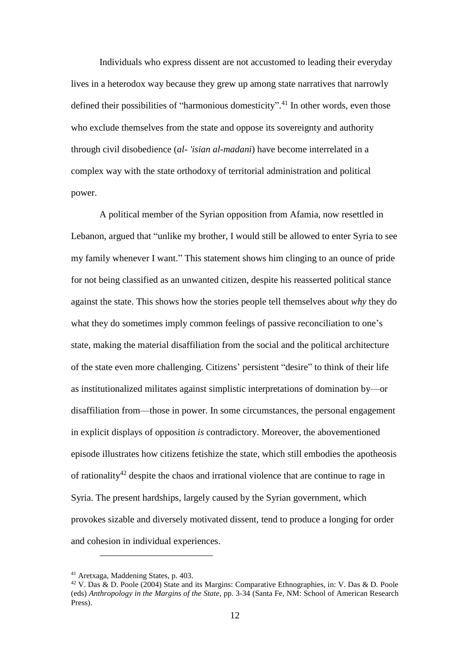Individuals who express dissent are not accustomed to leading their everyday lives in a heterodox way because they grew up among state narratives that narrowly defined their possibilities of "harmonious domesticity".<sup>41</sup> In other words, even those who exclude themselves from the state and oppose its sovereignty and authority through civil disobedience (*al- 'isian al-madani*) have become interrelated in a complex way with the state orthodoxy of territorial administration and political power.

A political member of the Syrian opposition from Afamia, now resettled in Lebanon, argued that "unlike my brother, I would still be allowed to enter Syria to see my family whenever I want." This statement shows him clinging to an ounce of pride for not being classified as an unwanted citizen, despite his reasserted political stance against the state. This shows how the stories people tell themselves about *why* they do what they do sometimes imply common feelings of passive reconciliation to one's state, making the material disaffiliation from the social and the political architecture of the state even more challenging. Citizens' persistent "desire" to think of their life as institutionalized militates against simplistic interpretations of domination by—or disaffiliation from—those in power. In some circumstances, the personal engagement in explicit displays of opposition *is* contradictory. Moreover, the abovementioned episode illustrates how citizens fetishize the state, which still embodies the apotheosis of rationality<sup>42</sup> despite the chaos and irrational violence that are continue to rage in Syria. The present hardships, largely caused by the Syrian government, which provokes sizable and diversely motivated dissent, tend to produce a longing for order and cohesion in individual experiences.

<u>.</u>

<sup>41</sup> Aretxaga, Maddening States, p. 403.

<sup>42</sup> V. Das & D. Poole (2004) State and its Margins: Comparative Ethnographies, in: V. Das & D. Poole (eds) *Anthropology in the Margins of the State*, pp. 3-34 (Santa Fe, NM: School of American Research Press).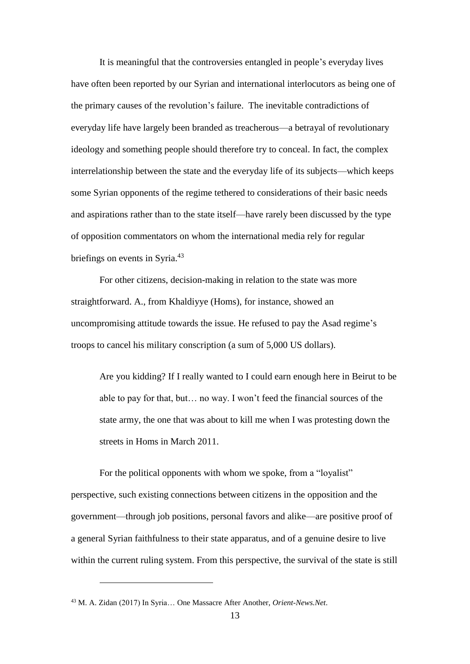It is meaningful that the controversies entangled in people's everyday lives have often been reported by our Syrian and international interlocutors as being one of the primary causes of the revolution's failure. The inevitable contradictions of everyday life have largely been branded as treacherous—a betrayal of revolutionary ideology and something people should therefore try to conceal. In fact, the complex interrelationship between the state and the everyday life of its subjects—which keeps some Syrian opponents of the regime tethered to considerations of their basic needs and aspirations rather than to the state itself—have rarely been discussed by the type of opposition commentators on whom the international media rely for regular briefings on events in Syria.<sup>43</sup>

For other citizens, decision-making in relation to the state was more straightforward. A., from Khaldiyye (Homs), for instance, showed an uncompromising attitude towards the issue. He refused to pay the Asad regime's troops to cancel his military conscription (a sum of 5,000 US dollars).

Are you kidding? If I really wanted to I could earn enough here in Beirut to be able to pay for that, but… no way. I won't feed the financial sources of the state army, the one that was about to kill me when I was protesting down the streets in Homs in March 2011.

For the political opponents with whom we spoke, from a "loyalist" perspective, such existing connections between citizens in the opposition and the government—through job positions, personal favors and alike—are positive proof of a general Syrian faithfulness to their state apparatus, and of a genuine desire to live within the current ruling system. From this perspective, the survival of the state is still

<sup>43</sup> M. A. Zidan (2017) In Syria… One Massacre After Another, *Orient-News.Net*.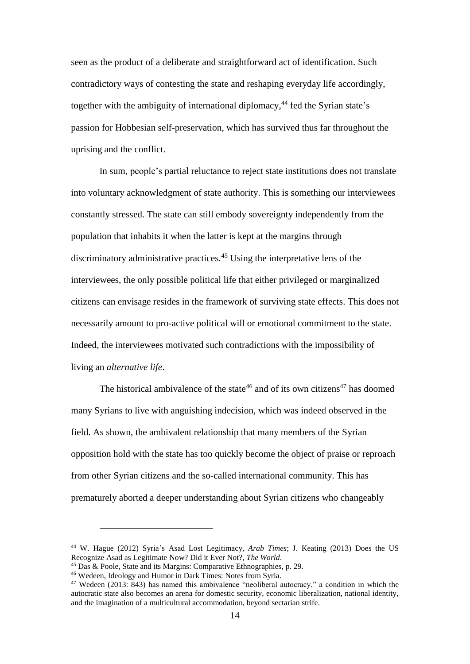seen as the product of a deliberate and straightforward act of identification. Such contradictory ways of contesting the state and reshaping everyday life accordingly, together with the ambiguity of international diplomacy, <sup>44</sup> fed the Syrian state's passion for Hobbesian self-preservation, which has survived thus far throughout the uprising and the conflict.

In sum, people's partial reluctance to reject state institutions does not translate into voluntary acknowledgment of state authority. This is something our interviewees constantly stressed. The state can still embody sovereignty independently from the population that inhabits it when the latter is kept at the margins through discriminatory administrative practices.<sup>45</sup> Using the interpretative lens of the interviewees, the only possible political life that either privileged or marginalized citizens can envisage resides in the framework of surviving state effects. This does not necessarily amount to pro-active political will or emotional commitment to the state. Indeed, the interviewees motivated such contradictions with the impossibility of living an *alternative life*.

The historical ambivalence of the state<sup>46</sup> and of its own citizens<sup>47</sup> has doomed many Syrians to live with anguishing indecision, which was indeed observed in the field. As shown, the ambivalent relationship that many members of the Syrian opposition hold with the state has too quickly become the object of praise or reproach from other Syrian citizens and the so-called international community. This has prematurely aborted a deeper understanding about Syrian citizens who changeably

<sup>44</sup> W. Hague (2012) Syria's Asad Lost Legitimacy, *Arab Times*; J. Keating (2013) Does the US Recognize Asad as Legitimate Now? Did it Ever Not?, *The World*.

<sup>45</sup> Das & Poole, State and its Margins: Comparative Ethnographies, p. 29.

<sup>46</sup> Wedeen, Ideology and Humor in Dark Times: Notes from Syria.

<sup>47</sup> Wedeen (2013: 843) has named this ambivalence "neoliberal autocracy," a condition in which the autocratic state also becomes an arena for domestic security, economic liberalization, national identity, and the imagination of a multicultural accommodation, beyond sectarian strife.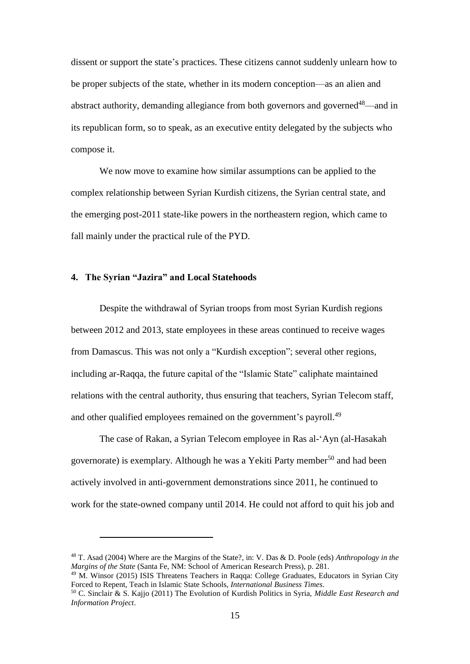dissent or support the state's practices. These citizens cannot suddenly unlearn how to be proper subjects of the state, whether in its modern conception—as an alien and abstract authority, demanding allegiance from both governors and governed<sup>48</sup>—and in its republican form, so to speak, as an executive entity delegated by the subjects who compose it.

We now move to examine how similar assumptions can be applied to the complex relationship between Syrian Kurdish citizens, the Syrian central state, and the emerging post-2011 state-like powers in the northeastern region, which came to fall mainly under the practical rule of the PYD.

#### **4. The Syrian "Jazira" and Local Statehoods**

1

Despite the withdrawal of Syrian troops from most Syrian Kurdish regions between 2012 and 2013, state employees in these areas continued to receive wages from Damascus. This was not only a "Kurdish exception"; several other regions, including ar-Raqqa, the future capital of the "Islamic State" caliphate maintained relations with the central authority, thus ensuring that teachers, Syrian Telecom staff, and other qualified employees remained on the government's payroll.<sup>49</sup>

The case of Rakan, a Syrian Telecom employee in Ras al-'Ayn (al-Hasakah governorate) is exemplary. Although he was a Yekiti Party member<sup>50</sup> and had been actively involved in anti-government demonstrations since 2011, he continued to work for the state-owned company until 2014. He could not afford to quit his job and

<sup>48</sup> T. Asad (2004) Where are the Margins of the State?, in: V. Das & D. Poole (eds) *Anthropology in the Margins of the State* (Santa Fe, NM: School of American Research Press), p. 281.

<sup>49</sup> M. Winsor (2015) ISIS Threatens Teachers in Raqqa: College Graduates, Educators in Syrian City Forced to Repent, Teach in Islamic State Schools, *International Business Times*.

<sup>50</sup> C. Sinclair & S. Kajjo (2011) The Evolution of Kurdish Politics in Syria, *Middle East Research and Information Project*.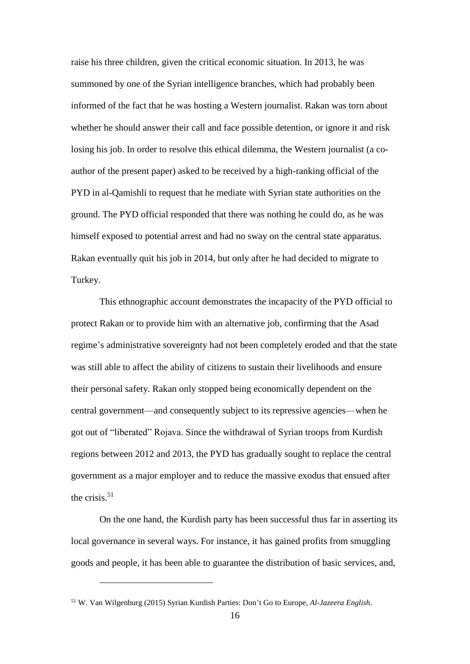raise his three children, given the critical economic situation. In 2013, he was summoned by one of the Syrian intelligence branches, which had probably been informed of the fact that he was hosting a Western journalist. Rakan was torn about whether he should answer their call and face possible detention, or ignore it and risk losing his job. In order to resolve this ethical dilemma, the Western journalist (a coauthor of the present paper) asked to be received by a high-ranking official of the PYD in al-Qamishli to request that he mediate with Syrian state authorities on the ground. The PYD official responded that there was nothing he could do, as he was himself exposed to potential arrest and had no sway on the central state apparatus. Rakan eventually quit his job in 2014, but only after he had decided to migrate to Turkey.

This ethnographic account demonstrates the incapacity of the PYD official to protect Rakan or to provide him with an alternative job, confirming that the Asad regime's administrative sovereignty had not been completely eroded and that the state was still able to affect the ability of citizens to sustain their livelihoods and ensure their personal safety. Rakan only stopped being economically dependent on the central government—and consequently subject to its repressive agencies—when he got out of "liberated" Rojava. Since the withdrawal of Syrian troops from Kurdish regions between 2012 and 2013, the PYD has gradually sought to replace the central government as a major employer and to reduce the massive exodus that ensued after the crisis. $51$ 

On the one hand, the Kurdish party has been successful thus far in asserting its local governance in several ways. For instance, it has gained profits from smuggling goods and people, it has been able to guarantee the distribution of basic services, and,

<sup>51</sup> W. Van Wilgenburg (2015) Syrian Kurdish Parties: Don't Go to Europe, *Al-Jazeera English*.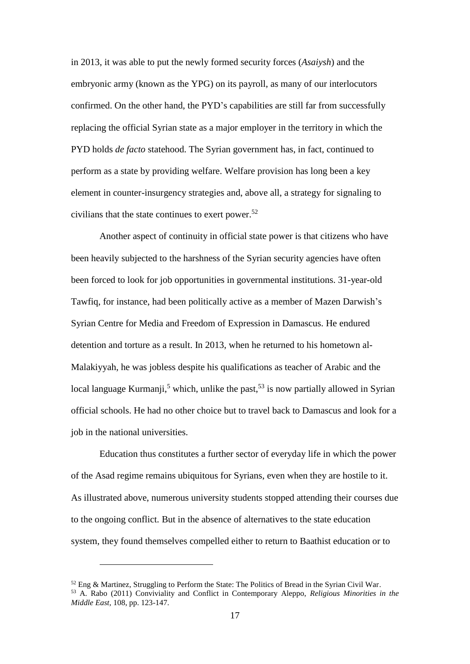in 2013, it was able to put the newly formed security forces (*Asaiysh*) and the embryonic army (known as the YPG) on its payroll, as many of our interlocutors confirmed. On the other hand, the PYD's capabilities are still far from successfully replacing the official Syrian state as a major employer in the territory in which the PYD holds *de facto* statehood. The Syrian government has, in fact, continued to perform as a state by providing welfare. Welfare provision has long been a key element in counter-insurgency strategies and, above all, a strategy for signaling to civilians that the state continues to exert power. 52

Another aspect of continuity in official state power is that citizens who have been heavily subjected to the harshness of the Syrian security agencies have often been forced to look for job opportunities in governmental institutions. 31-year-old Tawfiq, for instance, had been politically active as a member of Mazen Darwish's Syrian Centre for Media and Freedom of Expression in Damascus. He endured detention and torture as a result. In 2013, when he returned to his hometown al-Malakiyyah, he was jobless despite his qualifications as teacher of Arabic and the local language Kurmanji,<sup>5</sup> which, unlike the past,<sup>53</sup> is now partially allowed in Syrian official schools. He had no other choice but to travel back to Damascus and look for a job in the national universities.

Education thus constitutes a further sector of everyday life in which the power of the Asad regime remains ubiquitous for Syrians, even when they are hostile to it. As illustrated above, numerous university students stopped attending their courses due to the ongoing conflict. But in the absence of alternatives to the state education system, they found themselves compelled either to return to Baathist education or to

 $52$  Eng & Martinez, Struggling to Perform the State: The Politics of Bread in the Syrian Civil War. <sup>53</sup> A. Rabo (2011) Conviviality and Conflict in Contemporary Aleppo, *Religious Minorities in the Middle East,* 108, pp. 123-147.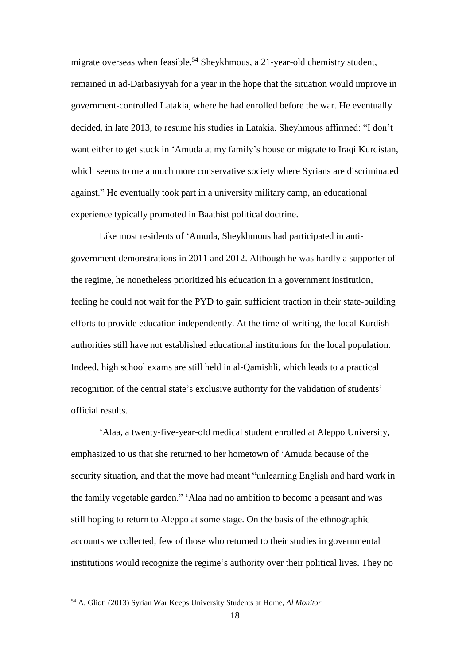migrate overseas when feasible.<sup>54</sup> Sheykhmous, a 21-year-old chemistry student, remained in ad-Darbasiyyah for a year in the hope that the situation would improve in government-controlled Latakia, where he had enrolled before the war. He eventually decided, in late 2013, to resume his studies in Latakia. Sheyhmous affirmed: "I don't want either to get stuck in 'Amuda at my family's house or migrate to Iraqi Kurdistan, which seems to me a much more conservative society where Syrians are discriminated against." He eventually took part in a university military camp, an educational experience typically promoted in Baathist political doctrine.

Like most residents of 'Amuda, Sheykhmous had participated in antigovernment demonstrations in 2011 and 2012. Although he was hardly a supporter of the regime, he nonetheless prioritized his education in a government institution, feeling he could not wait for the PYD to gain sufficient traction in their state-building efforts to provide education independently. At the time of writing, the local Kurdish authorities still have not established educational institutions for the local population. Indeed, high school exams are still held in al-Qamishli, which leads to a practical recognition of the central state's exclusive authority for the validation of students' official results.

'Alaa, a twenty-five-year-old medical student enrolled at Aleppo University, emphasized to us that she returned to her hometown of 'Amuda because of the security situation, and that the move had meant "unlearning English and hard work in the family vegetable garden." 'Alaa had no ambition to become a peasant and was still hoping to return to Aleppo at some stage. On the basis of the ethnographic accounts we collected, few of those who returned to their studies in governmental institutions would recognize the regime's authority over their political lives. They no

<sup>54</sup> A. Glioti (2013) Syrian War Keeps University Students at Home, *Al Monitor.*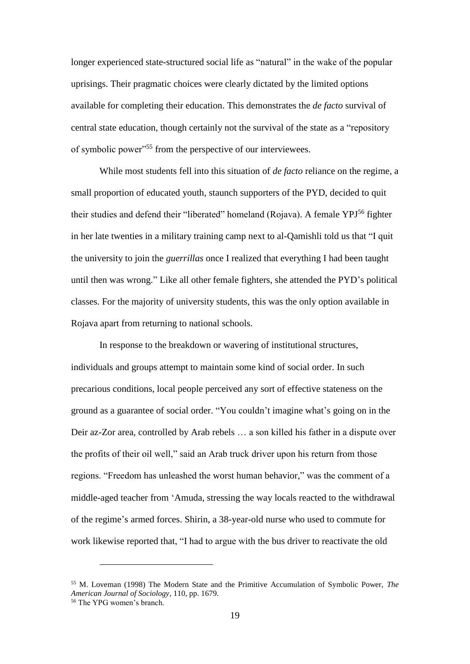longer experienced state-structured social life as "natural" in the wake of the popular uprisings. Their pragmatic choices were clearly dictated by the limited options available for completing their education. This demonstrates the *de facto* survival of central state education, though certainly not the survival of the state as a "repository of symbolic power"<sup>55</sup> from the perspective of our interviewees.

While most students fell into this situation of *de facto* reliance on the regime, a small proportion of educated youth, staunch supporters of the PYD, decided to quit their studies and defend their "liberated" homeland (Rojava). A female YPJ<sup>56</sup> fighter in her late twenties in a military training camp next to al-Qamishli told us that "I quit the university to join the *guerrillas* once I realized that everything I had been taught until then was wrong." Like all other female fighters, she attended the PYD's political classes. For the majority of university students, this was the only option available in Rojava apart from returning to national schools.

In response to the breakdown or wavering of institutional structures, individuals and groups attempt to maintain some kind of social order. In such precarious conditions, local people perceived any sort of effective stateness on the ground as a guarantee of social order. "You couldn't imagine what's going on in the Deir az-Zor area, controlled by Arab rebels … a son killed his father in a dispute over the profits of their oil well," said an Arab truck driver upon his return from those regions. "Freedom has unleashed the worst human behavior," was the comment of a middle-aged teacher from 'Amuda, stressing the way locals reacted to the withdrawal of the regime's armed forces. Shirin, a 38-year-old nurse who used to commute for work likewise reported that, "I had to argue with the bus driver to reactivate the old

<sup>55</sup> M. Loveman (1998) The Modern State and the Primitive Accumulation of Symbolic Power, *The American Journal of Sociology*, 110, pp. 1679.

<sup>56</sup> The YPG women's branch.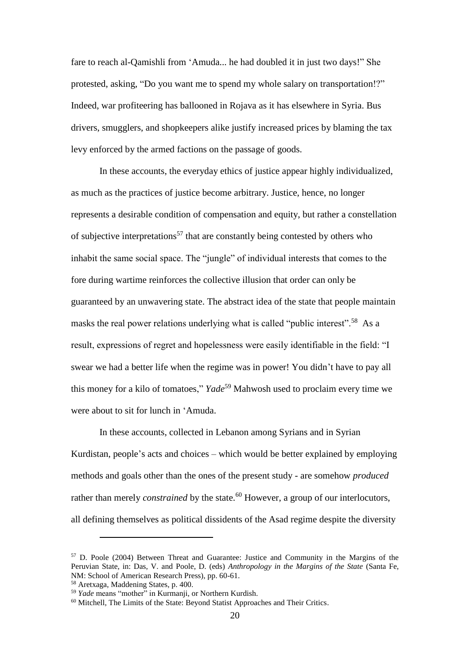fare to reach al-Qamishli from 'Amuda... he had doubled it in just two days!" She protested, asking, "Do you want me to spend my whole salary on transportation!?" Indeed, war profiteering has ballooned in Rojava as it has elsewhere in Syria. Bus drivers, smugglers, and shopkeepers alike justify increased prices by blaming the tax levy enforced by the armed factions on the passage of goods.

In these accounts, the everyday ethics of justice appear highly individualized, as much as the practices of justice become arbitrary. Justice, hence, no longer represents a desirable condition of compensation and equity, but rather a constellation of subjective interpretations<sup>57</sup> that are constantly being contested by others who inhabit the same social space. The "jungle" of individual interests that comes to the fore during wartime reinforces the collective illusion that order can only be guaranteed by an unwavering state. The abstract idea of the state that people maintain masks the real power relations underlying what is called "public interest".<sup>58</sup> As a result, expressions of regret and hopelessness were easily identifiable in the field: "I swear we had a better life when the regime was in power! You didn't have to pay all this money for a kilo of tomatoes," *Yade* <sup>59</sup> Mahwosh used to proclaim every time we were about to sit for lunch in 'Amuda.

In these accounts, collected in Lebanon among Syrians and in Syrian Kurdistan, people's acts and choices – which would be better explained by employing methods and goals other than the ones of the present study - are somehow *produced* rather than merely *constrained* by the state.<sup>60</sup> However, a group of our interlocutors, all defining themselves as political dissidents of the Asad regime despite the diversity

<sup>57</sup> D. Poole (2004) Between Threat and Guarantee: Justice and Community in the Margins of the Peruvian State, in: Das, V. and Poole, D. (eds) *Anthropology in the Margins of the State* (Santa Fe, NM: School of American Research Press), pp. 60-61.

<sup>58</sup> Aretxaga, Maddening States, p. 400.

<sup>59</sup> *Yade* means "mother" in Kurmanji, or Northern Kurdish.

<sup>60</sup> Mitchell, The Limits of the State: Beyond Statist Approaches and Their Critics.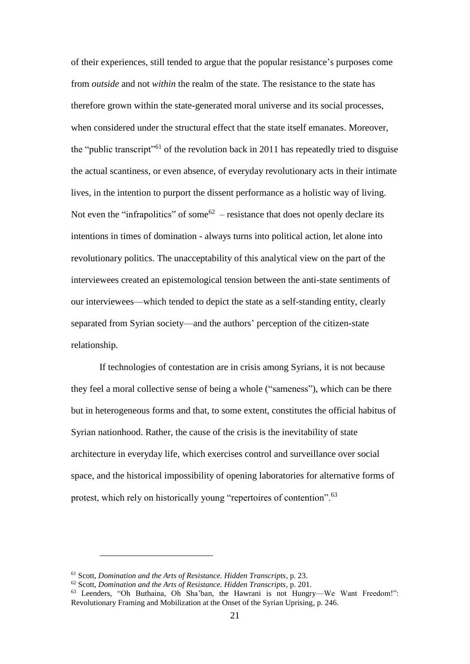of their experiences, still tended to argue that the popular resistance's purposes come from *outside* and not *within* the realm of the state. The resistance to the state has therefore grown within the state-generated moral universe and its social processes, when considered under the structural effect that the state itself emanates. Moreover, the "public transcript"<sup>61</sup> of the revolution back in 2011 has repeatedly tried to disguise the actual scantiness, or even absence, of everyday revolutionary acts in their intimate lives, in the intention to purport the dissent performance as a holistic way of living. Not even the "infrapolitics" of some<sup>62</sup> – resistance that does not openly declare its intentions in times of domination - always turns into political action, let alone into revolutionary politics. The unacceptability of this analytical view on the part of the interviewees created an epistemological tension between the anti-state sentiments of our interviewees—which tended to depict the state as a self-standing entity, clearly separated from Syrian society—and the authors' perception of the citizen-state relationship.

If technologies of contestation are in crisis among Syrians, it is not because they feel a moral collective sense of being a whole ("sameness"), which can be there but in heterogeneous forms and that, to some extent, constitutes the official habitus of Syrian nationhood. Rather, the cause of the crisis is the inevitability of state architecture in everyday life, which exercises control and surveillance over social space, and the historical impossibility of opening laboratories for alternative forms of protest, which rely on historically young "repertoires of contention".<sup>63</sup>

<u>.</u>

<sup>61</sup> Scott, *Domination and the Arts of Resistance. Hidden Transcripts*, p. 23.

<sup>62</sup> Scott, *Domination and the Arts of Resistance. Hidden Transcripts*, p. 201.

<sup>63</sup> Leenders, "Oh Buthaina, Oh Sha'ban, the Hawrani is not Hungry—We Want Freedom!": Revolutionary Framing and Mobilization at the Onset of the Syrian Uprising, p. 246.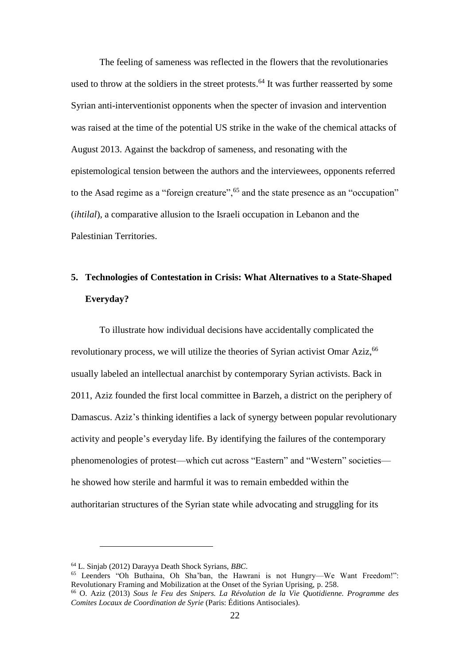The feeling of sameness was reflected in the flowers that the revolutionaries used to throw at the soldiers in the street protests.<sup>64</sup> It was further reasserted by some Syrian anti-interventionist opponents when the specter of invasion and intervention was raised at the time of the potential US strike in the wake of the chemical attacks of August 2013. Against the backdrop of sameness, and resonating with the epistemological tension between the authors and the interviewees, opponents referred to the Asad regime as a "foreign creature",  $65$  and the state presence as an "occupation" (*ihtilal*), a comparative allusion to the Israeli occupation in Lebanon and the Palestinian Territories.

# **5. Technologies of Contestation in Crisis: What Alternatives to a State-Shaped Everyday?**

To illustrate how individual decisions have accidentally complicated the revolutionary process, we will utilize the theories of Syrian activist Omar Aziz,<sup>66</sup> usually labeled an intellectual anarchist by contemporary Syrian activists. Back in 2011, Aziz founded the first local committee in Barzeh, a district on the periphery of Damascus. Aziz's thinking identifies a lack of synergy between popular revolutionary activity and people's everyday life. By identifying the failures of the contemporary phenomenologies of protest—which cut across "Eastern" and "Western" societies he showed how sterile and harmful it was to remain embedded within the authoritarian structures of the Syrian state while advocating and struggling for its

<sup>64</sup> L. Sinjab (2012) Darayya Death Shock Syrians, *BBC*.

<sup>65</sup> Leenders "Oh Buthaina, Oh Sha'ban, the Hawrani is not Hungry—We Want Freedom!": Revolutionary Framing and Mobilization at the Onset of the Syrian Uprising, p. 258.

<sup>66</sup> O. Aziz (2013) *Sous le Feu des Snipers. La Révolution de la Vie Quotidienne. Programme des Comites Locaux de Coordination de Syrie* (Paris: Éditions Antisociales).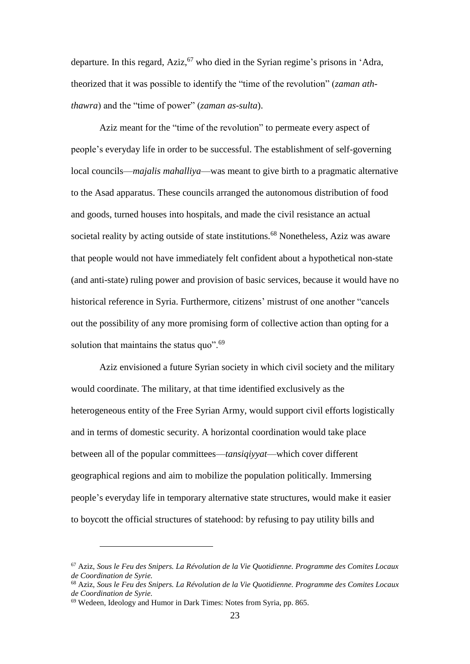departure. In this regard, Aziz, <sup>67</sup> who died in the Syrian regime's prisons in 'Adra, theorized that it was possible to identify the "time of the revolution" (*zaman aththawra*) and the "time of power" (*zaman as-sulta*).

Aziz meant for the "time of the revolution" to permeate every aspect of people's everyday life in order to be successful. The establishment of self-governing local councils—*majalis mahalliya*—was meant to give birth to a pragmatic alternative to the Asad apparatus. These councils arranged the autonomous distribution of food and goods, turned houses into hospitals, and made the civil resistance an actual societal reality by acting outside of state institutions.<sup>68</sup> Nonetheless, Aziz was aware that people would not have immediately felt confident about a hypothetical non-state (and anti-state) ruling power and provision of basic services, because it would have no historical reference in Syria. Furthermore, citizens' mistrust of one another "cancels out the possibility of any more promising form of collective action than opting for a solution that maintains the status quo".<sup>69</sup>

Aziz envisioned a future Syrian society in which civil society and the military would coordinate. The military, at that time identified exclusively as the heterogeneous entity of the Free Syrian Army, would support civil efforts logistically and in terms of domestic security. A horizontal coordination would take place between all of the popular committees—*tansiqiyyat*—which cover different geographical regions and aim to mobilize the population politically. Immersing people's everyday life in temporary alternative state structures, would make it easier to boycott the official structures of statehood: by refusing to pay utility bills and

<sup>67</sup> Aziz, *Sous le Feu des Snipers. La Révolution de la Vie Quotidienne. Programme des Comites Locaux de Coordination de Syrie.*

<sup>68</sup> Aziz, *Sous le Feu des Snipers. La Révolution de la Vie Quotidienne. Programme des Comites Locaux de Coordination de Syrie.*

<sup>69</sup> Wedeen, Ideology and Humor in Dark Times: Notes from Syria, pp. 865.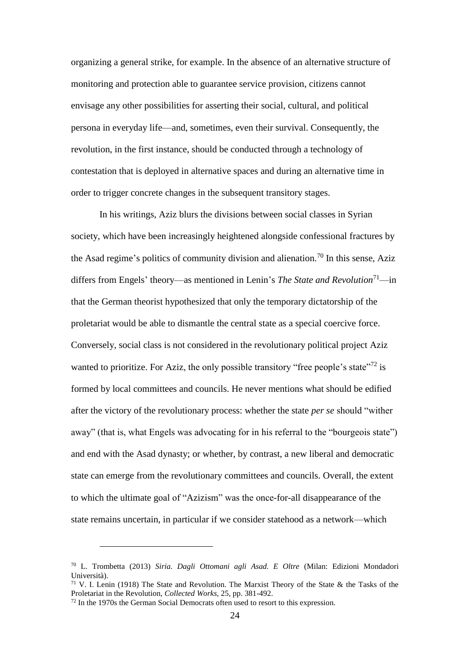organizing a general strike, for example. In the absence of an alternative structure of monitoring and protection able to guarantee service provision, citizens cannot envisage any other possibilities for asserting their social, cultural, and political persona in everyday life—and, sometimes, even their survival. Consequently, the revolution, in the first instance, should be conducted through a technology of contestation that is deployed in alternative spaces and during an alternative time in order to trigger concrete changes in the subsequent transitory stages.

In his writings, Aziz blurs the divisions between social classes in Syrian society, which have been increasingly heightened alongside confessional fractures by the Asad regime's politics of community division and alienation.<sup>70</sup> In this sense, Aziz differs from Engels' theory—as mentioned in Lenin's *The State and Revolution*<sup>71</sup>—in that the German theorist hypothesized that only the temporary dictatorship of the proletariat would be able to dismantle the central state as a special coercive force. Conversely, social class is not considered in the revolutionary political project Aziz wanted to prioritize. For Aziz, the only possible transitory "free people's state"<sup>72</sup> is formed by local committees and councils. He never mentions what should be edified after the victory of the revolutionary process: whether the state *per se* should "wither away" (that is, what Engels was advocating for in his referral to the "bourgeois state") and end with the Asad dynasty; or whether, by contrast, a new liberal and democratic state can emerge from the revolutionary committees and councils. Overall, the extent to which the ultimate goal of "Azizism" was the once-for-all disappearance of the state remains uncertain, in particular if we consider statehood as a network—which

<sup>70</sup> L. Trombetta (2013) *Siria. Dagli Ottomani agli Asad. E Oltre* (Milan: Edizioni Mondadori Università).

<sup>&</sup>lt;sup>71</sup> V. I. Lenin (1918) The State and Revolution. The Marxist Theory of the State & the Tasks of the Proletariat in the Revolution, *Collected Works*, 25, pp. 381-492.

<sup>72</sup> In the 1970s the German Social Democrats often used to resort to this expression.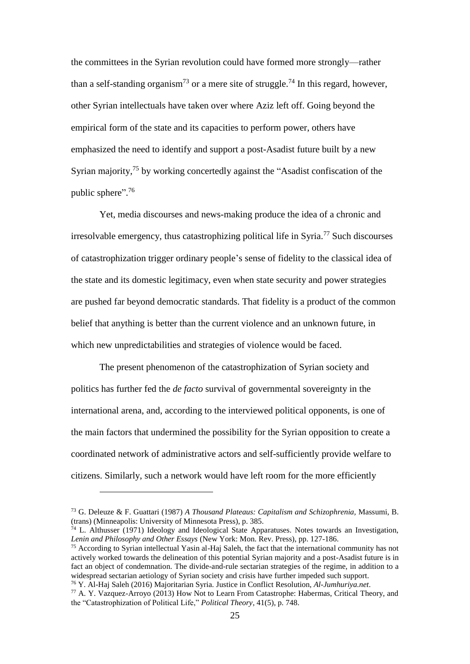the committees in the Syrian revolution could have formed more strongly—rather than a self-standing organism<sup>73</sup> or a mere site of struggle.<sup>74</sup> In this regard, however, other Syrian intellectuals have taken over where Aziz left off. Going beyond the empirical form of the state and its capacities to perform power, others have emphasized the need to identify and support a post-Asadist future built by a new Syrian majority,<sup>75</sup> by working concertedly against the "Asadist confiscation of the public sphere". 76

Yet, media discourses and news-making produce the idea of a chronic and irresolvable emergency, thus catastrophizing political life in Syria.<sup>77</sup> Such discourses of catastrophization trigger ordinary people's sense of fidelity to the classical idea of the state and its domestic legitimacy, even when state security and power strategies are pushed far beyond democratic standards. That fidelity is a product of the common belief that anything is better than the current violence and an unknown future, in which new unpredictabilities and strategies of violence would be faced.

The present phenomenon of the catastrophization of Syrian society and politics has further fed the *de facto* survival of governmental sovereignty in the international arena, and, according to the interviewed political opponents, is one of the main factors that undermined the possibility for the Syrian opposition to create a coordinated network of administrative actors and self-sufficiently provide welfare to citizens. Similarly, such a network would have left room for the more efficiently

<u>.</u>

<sup>73</sup> G. Deleuze & F. Guattari (1987) *A Thousand Plateaus: Capitalism and Schizophrenia,* Massumi, B. (trans) (Minneapolis: University of Minnesota Press), p. 385.

 $74$  L. Althusser (1971) Ideology and Ideological State Apparatuses. Notes towards an Investigation, *Lenin and Philosophy and Other Essays* (New York: Mon. Rev. Press), pp. 127-186.

<sup>&</sup>lt;sup>75</sup> According to Syrian intellectual Yasin al-Haj Saleh, the fact that the international community has not actively worked towards the delineation of this potential Syrian majority and a post-Asadist future is in fact an object of condemnation. The divide-and-rule sectarian strategies of the regime, in addition to a widespread sectarian aetiology of Syrian society and crisis have further impeded such support.

<sup>76</sup> Y. Al-Haj Saleh (2016) Majoritarian Syria. Justice in Conflict Resolution, *Al-Jumhuriya.net*.

<sup>77</sup> A. Y. Vazquez-Arroyo (2013) How Not to Learn From Catastrophe: Habermas, Critical Theory, and the "Catastrophization of Political Life," *Political Theory*, 41(5), p. 748.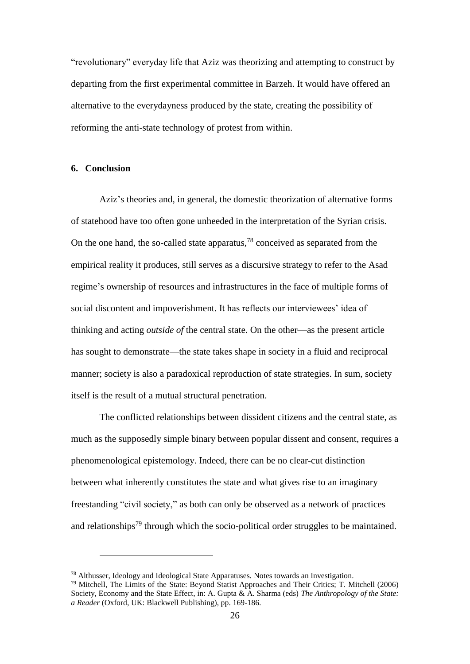"revolutionary" everyday life that Aziz was theorizing and attempting to construct by departing from the first experimental committee in Barzeh. It would have offered an alternative to the everydayness produced by the state, creating the possibility of reforming the anti-state technology of protest from within.

### **6. Conclusion**

<u>.</u>

Aziz's theories and, in general, the domestic theorization of alternative forms of statehood have too often gone unheeded in the interpretation of the Syrian crisis. On the one hand, the so-called state apparatus,  $78$  conceived as separated from the empirical reality it produces, still serves as a discursive strategy to refer to the Asad regime's ownership of resources and infrastructures in the face of multiple forms of social discontent and impoverishment. It has reflects our interviewees' idea of thinking and acting *outside of* the central state. On the other—as the present article has sought to demonstrate—the state takes shape in society in a fluid and reciprocal manner; society is also a paradoxical reproduction of state strategies. In sum, society itself is the result of a mutual structural penetration.

The conflicted relationships between dissident citizens and the central state, as much as the supposedly simple binary between popular dissent and consent, requires a phenomenological epistemology. Indeed, there can be no clear-cut distinction between what inherently constitutes the state and what gives rise to an imaginary freestanding "civil society," as both can only be observed as a network of practices and relationships<sup>79</sup> through which the socio-political order struggles to be maintained.

<sup>78</sup> Althusser, Ideology and Ideological State Apparatuses. Notes towards an Investigation.

<sup>79</sup> Mitchell, The Limits of the State: Beyond Statist Approaches and Their Critics; T. Mitchell (2006) Society, Economy and the State Effect, in: A. Gupta & A. Sharma (eds) *The Anthropology of the State: a Reader* (Oxford, UK: Blackwell Publishing), pp. 169-186.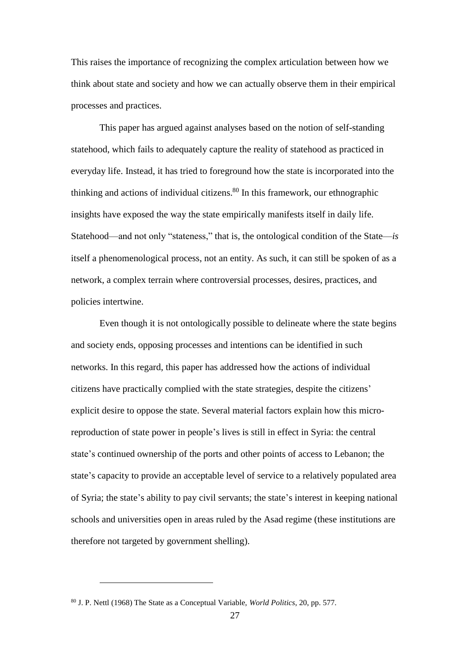This raises the importance of recognizing the complex articulation between how we think about state and society and how we can actually observe them in their empirical processes and practices.

This paper has argued against analyses based on the notion of self-standing statehood, which fails to adequately capture the reality of statehood as practiced in everyday life. Instead, it has tried to foreground how the state is incorporated into the thinking and actions of individual citizens. <sup>80</sup> In this framework, our ethnographic insights have exposed the way the state empirically manifests itself in daily life. Statehood—and not only "stateness," that is, the ontological condition of the State—*is* itself a phenomenological process, not an entity. As such, it can still be spoken of as a network, a complex terrain where controversial processes, desires, practices, and policies intertwine.

Even though it is not ontologically possible to delineate where the state begins and society ends, opposing processes and intentions can be identified in such networks. In this regard, this paper has addressed how the actions of individual citizens have practically complied with the state strategies, despite the citizens' explicit desire to oppose the state. Several material factors explain how this microreproduction of state power in people's lives is still in effect in Syria: the central state's continued ownership of the ports and other points of access to Lebanon; the state's capacity to provide an acceptable level of service to a relatively populated area of Syria; the state's ability to pay civil servants; the state's interest in keeping national schools and universities open in areas ruled by the Asad regime (these institutions are therefore not targeted by government shelling).

<sup>80</sup> J. P. Nettl (1968) The State as a Conceptual Variable, *World Politics*, 20, pp. 577.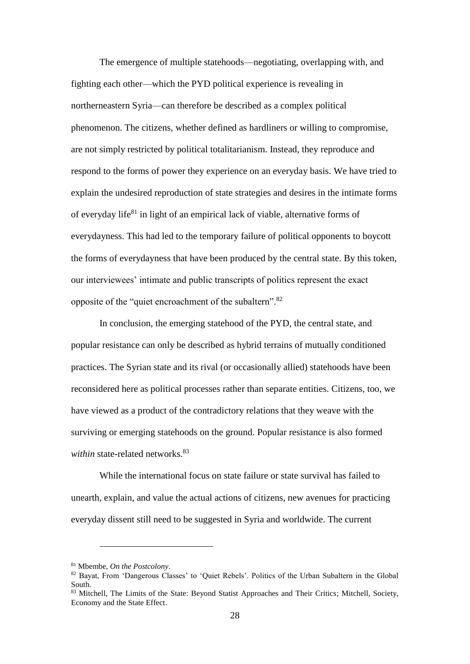The emergence of multiple statehoods—negotiating, overlapping with, and fighting each other—which the PYD political experience is revealing in northerneastern Syria—can therefore be described as a complex political phenomenon. The citizens, whether defined as hardliners or willing to compromise, are not simply restricted by political totalitarianism. Instead, they reproduce and respond to the forms of power they experience on an everyday basis. We have tried to explain the undesired reproduction of state strategies and desires in the intimate forms of everyday life<sup>81</sup> in light of an empirical lack of viable, alternative forms of everydayness. This had led to the temporary failure of political opponents to boycott the forms of everydayness that have been produced by the central state. By this token, our interviewees' intimate and public transcripts of politics represent the exact opposite of the "quiet encroachment of the subaltern".<sup>82</sup>

In conclusion, the emerging statehood of the PYD, the central state, and popular resistance can only be described as hybrid terrains of mutually conditioned practices. The Syrian state and its rival (or occasionally allied) statehoods have been reconsidered here as political processes rather than separate entities. Citizens, too, we have viewed as a product of the contradictory relations that they weave with the surviving or emerging statehoods on the ground. Popular resistance is also formed *within* state-related networks.<sup>83</sup>

While the international focus on state failure or state survival has failed to unearth, explain, and value the actual actions of citizens, new avenues for practicing everyday dissent still need to be suggested in Syria and worldwide. The current

<sup>81</sup> Mbembe, *On the Postcolony*.

<sup>82</sup> Bayat, From 'Dangerous Classes' to 'Quiet Rebels'. Politics of the Urban Subaltern in the Global South.

<sup>83</sup> Mitchell, The Limits of the State: Beyond Statist Approaches and Their Critics; Mitchell, Society, Economy and the State Effect.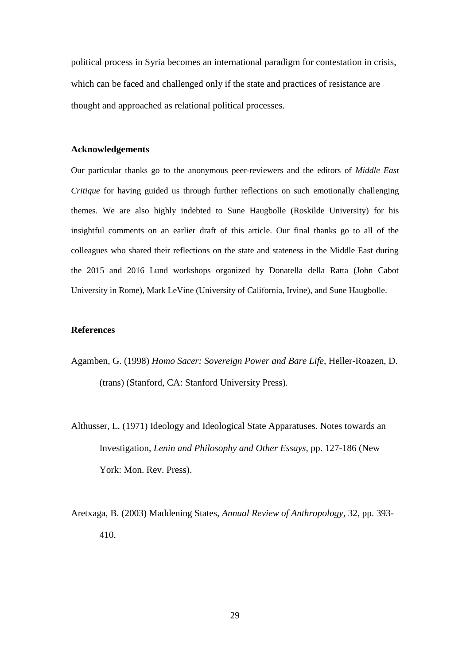political process in Syria becomes an international paradigm for contestation in crisis, which can be faced and challenged only if the state and practices of resistance are thought and approached as relational political processes.

#### **Acknowledgements**

Our particular thanks go to the anonymous peer-reviewers and the editors of *Middle East Critique* for having guided us through further reflections on such emotionally challenging themes. We are also highly indebted to Sune Haugbolle (Roskilde University) for his insightful comments on an earlier draft of this article. Our final thanks go to all of the colleagues who shared their reflections on the state and stateness in the Middle East during the 2015 and 2016 Lund workshops organized by Donatella della Ratta (John Cabot University in Rome), Mark LeVine (University of California, Irvine), and Sune Haugbolle.

#### **References**

- Agamben, G. (1998) *Homo Sacer: Sovereign Power and Bare Life*, Heller-Roazen, D. (trans) (Stanford, CA: Stanford University Press).
- Althusser, L. (1971) Ideology and Ideological State Apparatuses. Notes towards an Investigation, *Lenin and Philosophy and Other Essays*, pp. 127-186 (New York: Mon. Rev. Press).
- Aretxaga, B. (2003) Maddening States, *Annual Review of Anthropology,* 32, pp. 393- 410.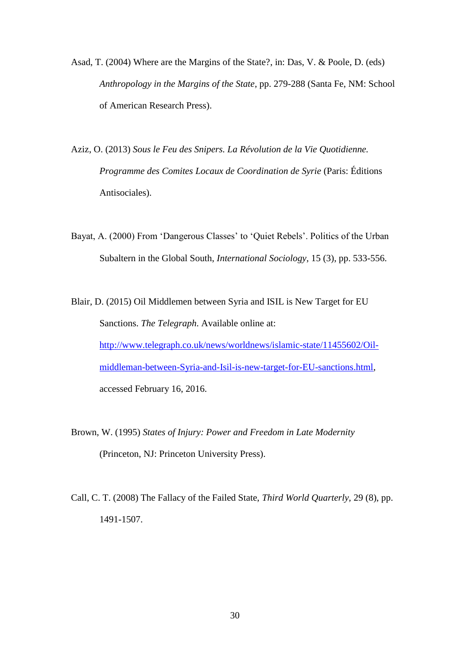- Asad, T. (2004) Where are the Margins of the State?, in: Das, V. & Poole, D. (eds) *Anthropology in the Margins of the State*, pp. 279-288 (Santa Fe, NM: School of American Research Press).
- Aziz, O. (2013) *Sous le Feu des Snipers. La Révolution de la Vie Quotidienne. Programme des Comites Locaux de Coordination de Syrie* (Paris: Éditions Antisociales).
- Bayat, A. (2000) From 'Dangerous Classes' to 'Quiet Rebels'. Politics of the Urban Subaltern in the Global South, *International Sociology*, 15 (3), pp. 533-556.
- Blair, D. (2015) Oil Middlemen between Syria and ISIL is New Target for EU Sanctions. *The Telegraph*. Available online at: [http://www.telegraph.co.uk/news/worldnews/islamic-state/11455602/Oil](http://www.telegraph.co.uk/news/worldnews/islamic-state/11455602/Oil-middleman-between-Syria-and-Isil-is-new-target-for-EU-sanctions.html)[middleman-between-Syria-and-Isil-is-new-target-for-EU-sanctions.html,](http://www.telegraph.co.uk/news/worldnews/islamic-state/11455602/Oil-middleman-between-Syria-and-Isil-is-new-target-for-EU-sanctions.html) accessed February 16, 2016.
- Brown, W. (1995) *States of Injury: Power and Freedom in Late Modernity* (Princeton, NJ: Princeton University Press).
- Call, C. T. (2008) The Fallacy of the Failed State, *Third World Quarterly,* 29 (8), pp. 1491-1507.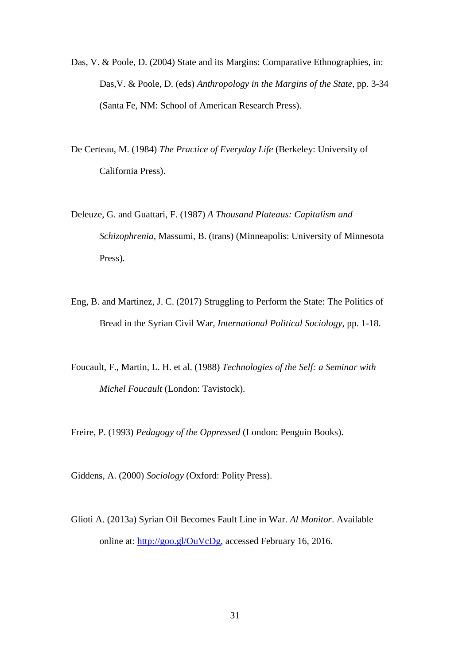- Das, V. & Poole, D. (2004) State and its Margins: Comparative Ethnographies, in: Das,V. & Poole, D. (eds) *Anthropology in the Margins of the State*, pp. 3-34 (Santa Fe, NM: School of American Research Press).
- De Certeau, M. (1984) *The Practice of Everyday Life* (Berkeley: University of California Press).
- Deleuze, G. and Guattari, F. (1987) *A Thousand Plateaus: Capitalism and Schizophrenia,* Massumi, B. (trans) (Minneapolis: University of Minnesota Press).
- Eng, B. and Martinez, J. C. (2017) Struggling to Perform the State: The Politics of Bread in the Syrian Civil War, *International Political Sociology,* pp. 1-18.
- Foucault, F., Martin, L. H. et al. (1988) *Technologies of the Self: a Seminar with Michel Foucault* (London: Tavistock).

Freire, P. (1993) *Pedagogy of the Oppressed* (London: Penguin Books).

Giddens, A. (2000) *Sociology* (Oxford: Polity Press).

Glioti A. (2013a) Syrian Oil Becomes Fault Line in War. *Al Monitor*. Available online at: [http://goo.gl/OuVcDg,](http://goo.gl/OuVcDg) accessed February 16, 2016.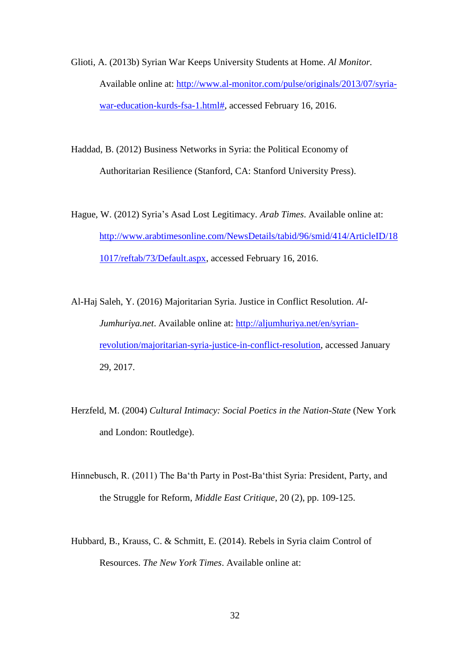Glioti, A. (2013b) Syrian War Keeps University Students at Home. *Al Monitor.* Available online at: [http://www.al-monitor.com/pulse/originals/2013/07/syria](http://www.al-monitor.com/pulse/originals/2013/07/syria-war-education-kurds-fsa-1.html)[war-education-kurds-fsa-1.html#,](http://www.al-monitor.com/pulse/originals/2013/07/syria-war-education-kurds-fsa-1.html) accessed February 16, 2016.

Haddad, B. (2012) Business Networks in Syria: the Political Economy of Authoritarian Resilience (Stanford, CA: Stanford University Press).

Hague, W. (2012) Syria's Asad Lost Legitimacy. *Arab Times*. Available online at: [http://www.arabtimesonline.com/NewsDetails/tabid/96/smid/414/ArticleID/18](http://www.arabtimesonline.com/NewsDetails/tabid/96/smid/414/ArticleID/181017/reftab/73/Default.aspx) [1017/reftab/73/Default.aspx,](http://www.arabtimesonline.com/NewsDetails/tabid/96/smid/414/ArticleID/181017/reftab/73/Default.aspx) accessed February 16, 2016.

Al-Haj Saleh, Y. (2016) Majoritarian Syria. Justice in Conflict Resolution. *Al-Jumhuriya.net*. Available online at: [http://aljumhuriya.net/en/syrian](http://aljumhuriya.net/en/syrian-revolution/majoritarian-syria-justice-in-conflict-resolution)[revolution/majoritarian-syria-justice-in-conflict-resolution,](http://aljumhuriya.net/en/syrian-revolution/majoritarian-syria-justice-in-conflict-resolution) accessed January 29, 2017.

- Herzfeld, M. (2004) *Cultural Intimacy: Social Poetics in the Nation-State* (New York and London: Routledge).
- Hinnebusch, R. (2011) The Ba'th Party in Post-Ba'thist Syria: President, Party, and the Struggle for Reform, *Middle East Critique*, 20 (2), pp. 109-125.
- Hubbard, B., Krauss, C. & Schmitt, E. (2014). Rebels in Syria claim Control of Resources. *The New York Times*. Available online at: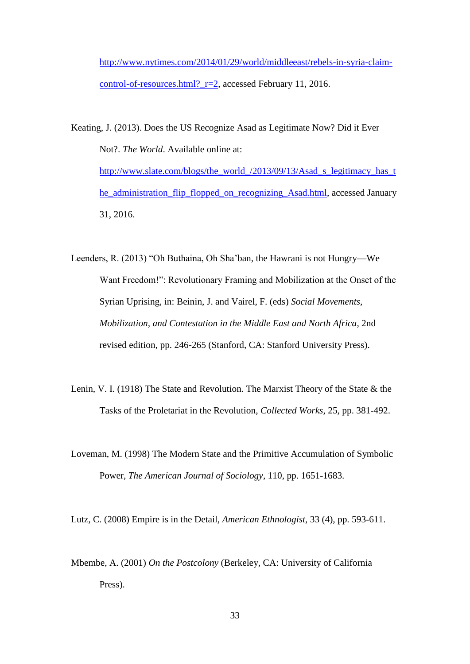[http://www.nytimes.com/2014/01/29/world/middleeast/rebels-in-syria-claim](http://www.nytimes.com/2014/01/29/world/middleeast/rebels-in-syria-claim-control-of-resources.html?_r=2)control-of-resources.html? r=2, accessed February 11, 2016.

Keating, J. (2013). Does the US Recognize Asad as Legitimate Now? Did it Ever Not?. *The World*. Available online at: [http://www.slate.com/blogs/the\\_world\\_/2013/09/13/Asad\\_s\\_legitimacy\\_has\\_t](http://www.slate.com/blogs/the_world_/2013/09/13/assad_s_legitimacy_has_the_administration_flip_flopped_on_recognizing_assad.html) [he\\_administration\\_flip\\_flopped\\_on\\_recognizing\\_Asad.html,](http://www.slate.com/blogs/the_world_/2013/09/13/assad_s_legitimacy_has_the_administration_flip_flopped_on_recognizing_assad.html) accessed January 31, 2016.

Leenders, R. (2013) "Oh Buthaina, Oh Sha'ban, the Hawrani is not Hungry—We Want Freedom!": Revolutionary Framing and Mobilization at the Onset of the Syrian Uprising, in: Beinin, J. and Vairel, F. (eds) *Social Movements, Mobilization, and Contestation in the Middle East and North Africa*, 2nd revised edition, pp. 246-265 (Stanford, CA: Stanford University Press).

- Lenin, V. I. (1918) The State and Revolution. The Marxist Theory of the State & the Tasks of the Proletariat in the Revolution, *Collected Works*, 25, pp. 381-492.
- Loveman, M. (1998) The Modern State and the Primitive Accumulation of Symbolic Power, *The American Journal of Sociology*, 110, pp. 1651-1683.

Lutz, C. (2008) Empire is in the Detail, *American Ethnologist*, 33 (4), pp. 593-611.

Mbembe, A. (2001) *On the Postcolony* (Berkeley, CA: University of California Press).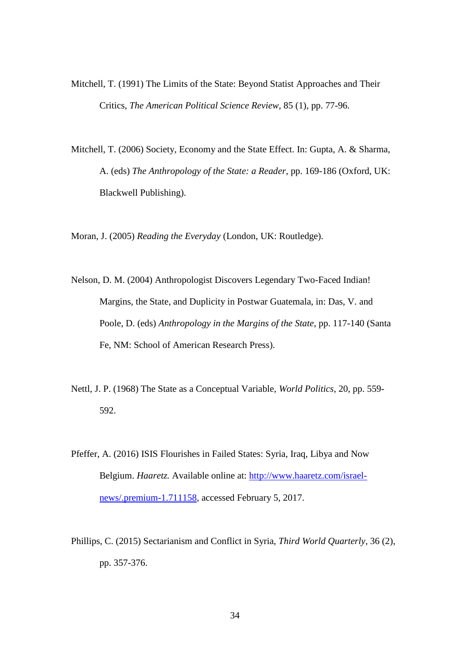- Mitchell, T. (1991) The Limits of the State: Beyond Statist Approaches and Their Critics, *The American Political Science Review,* 85 (1), pp. 77-96.
- Mitchell, T. (2006) Society, Economy and the State Effect. In: Gupta, A. & Sharma, A. (eds) *The Anthropology of the State: a Reader*, pp. 169-186 (Oxford, UK: Blackwell Publishing).

Moran, J. (2005) *Reading the Everyday* (London, UK: Routledge).

- Nelson, D. M. (2004) Anthropologist Discovers Legendary Two-Faced Indian! Margins, the State, and Duplicity in Postwar Guatemala, in: Das, V. and Poole, D. (eds) *Anthropology in the Margins of the State*, pp. 117-140 (Santa Fe, NM: School of American Research Press).
- Nettl, J. P. (1968) The State as a Conceptual Variable, *World Politics*, 20, pp. 559- 592.
- Pfeffer, A. (2016) ISIS Flourishes in Failed States: Syria, Iraq, Libya and Now Belgium. *Haaretz.* Available online at: [http://www.haaretz.com/israel](http://www.haaretz.com/israel-news/.premium-1.711158)[news/.premium-1.711158,](http://www.haaretz.com/israel-news/.premium-1.711158) accessed February 5, 2017.
- Phillips, C. (2015) Sectarianism and Conflict in Syria, *Third World Quarterly*, 36 (2), pp. 357-376.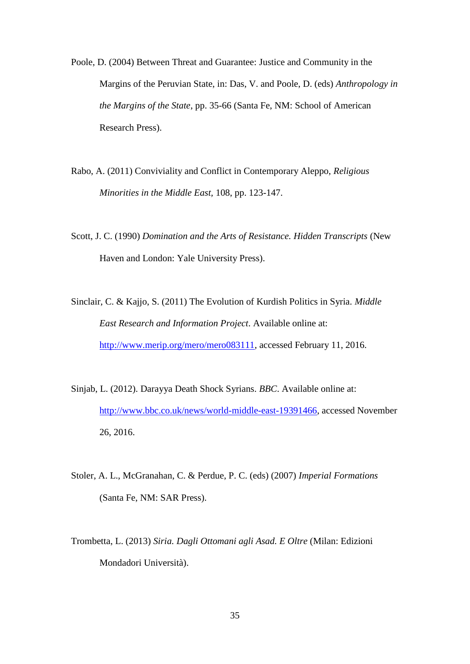- Poole, D. (2004) Between Threat and Guarantee: Justice and Community in the Margins of the Peruvian State, in: Das, V. and Poole, D. (eds) *Anthropology in the Margins of the State*, pp. 35-66 (Santa Fe, NM: School of American Research Press).
- Rabo, A. (2011) Conviviality and Conflict in Contemporary Aleppo, *Religious Minorities in the Middle East,* 108, pp. 123-147.
- Scott, J. C. (1990) *Domination and the Arts of Resistance. Hidden Transcripts* (New Haven and London: Yale University Press).
- Sinclair, C. & Kajjo, S. (2011) The Evolution of Kurdish Politics in Syria. *Middle East Research and Information Project*. Available online at: [http://www.merip.org/mero/mero083111,](http://www.merip.org/mero/mero083111) accessed February 11, 2016.
- Sinjab, L. (2012). Darayya Death Shock Syrians. *BBC*. Available online at: [http://www.bbc.co.uk/news/world-middle-east-19391466,](http://www.bbc.co.uk/news/world-middle-east-19391466) accessed November 26, 2016.
- Stoler, A. L., McGranahan, C. & Perdue, P. C. (eds) (2007) *Imperial Formations* (Santa Fe, NM: SAR Press).
- Trombetta, L. (2013) *Siria. Dagli Ottomani agli Asad. E Oltre* (Milan: Edizioni Mondadori Università).